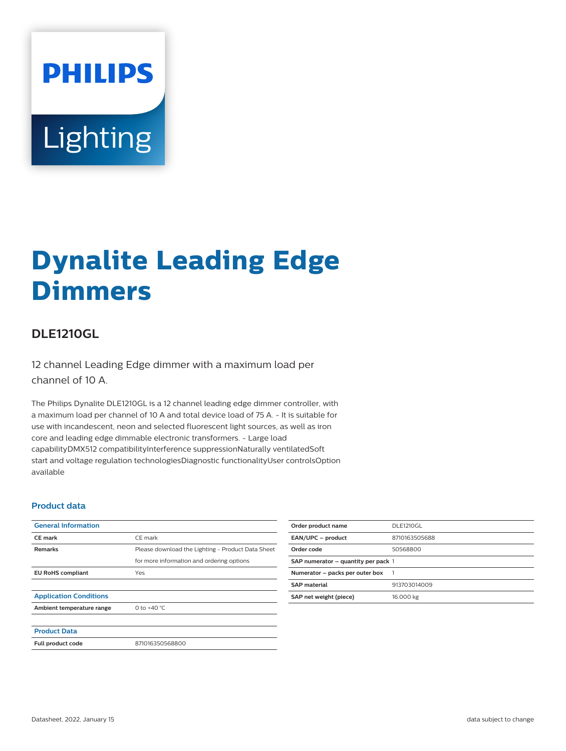# **PHILIPS** Lighting

# **Dynalite Leading Edge Dimmers**

## **DLE1210GL**

12 channel Leading Edge dimmer with a maximum load per channel of 10 A.

The Philips Dynalite DLE1210GL is a 12 channel leading edge dimmer controller, with a maximum load per channel of 10 A and total device load of 75 A. - It is suitable for use with incandescent, neon and selected fluorescent light sources, as well as iron core and leading edge dimmable electronic transformers. - Large load capabilityDMX512 compatibilityInterference suppressionNaturally ventilatedSoft start and voltage regulation technologiesDiagnostic functionalityUser controlsOption available

#### **Product data**

| <b>General Information</b>    |                                                   |
|-------------------------------|---------------------------------------------------|
| <b>CE</b> mark                | CE mark                                           |
| <b>Remarks</b>                | Please download the Lighting - Product Data Sheet |
|                               | for more information and ordering options         |
| <b>EU RoHS compliant</b>      | Yes                                               |
|                               |                                                   |
| <b>Application Conditions</b> |                                                   |
| Ambient temperature range     | 0 to $+40 °C$                                     |
|                               |                                                   |
| <b>Product Data</b>           |                                                   |
| Full product code             | 871016350568800                                   |
|                               |                                                   |

| Order product name                  | <b>DLE1210GL</b> |
|-------------------------------------|------------------|
| EAN/UPC - product                   | 8710163505688    |
| Order code                          | 50568800         |
| SAP numerator - quantity per pack 1 |                  |
| Numerator - packs per outer box     |                  |
| <b>SAP</b> material                 | 913703014009     |
| SAP net weight (piece)              | 16.000 kg        |
|                                     |                  |